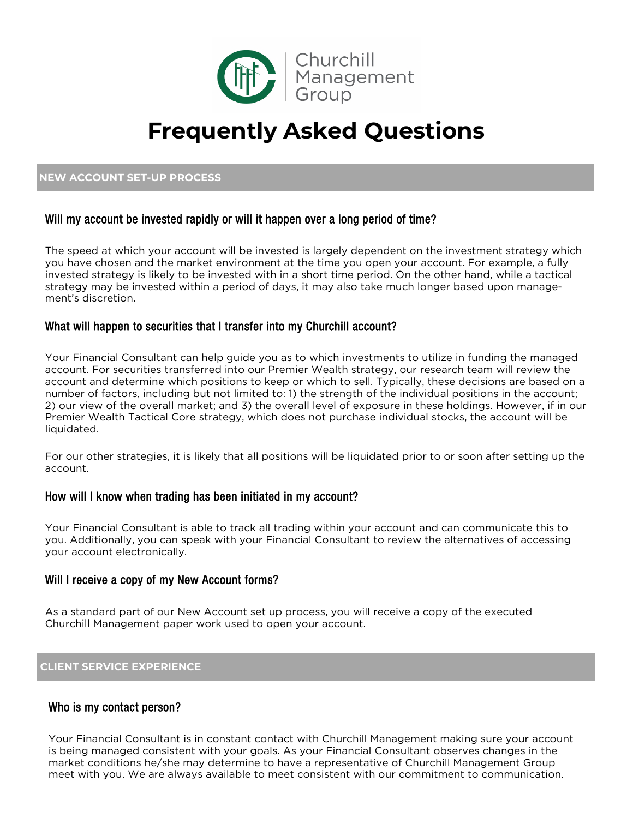

# **Frequently Asked Questions**

#### **NEW ACCOUNT SET-UP PROCESS**

### Will my account be invested rapidly or will it happen over a long period of time?

The speed at which your account will be invested is largely dependent on the investment strategy which you have chosen and the market environment at the time you open your account. For example, a fully invested strategy is likely to be invested with in a short time period. On the other hand, while a tactical strategy may be invested within a period of days, it may also take much longer based upon management's discretion.

#### What will happen to securities that I transfer into my Churchill account?

Your Financial Consultant can help guide you as to which investments to utilize in funding the managed account. For securities transferred into our Premier Wealth strategy, our research team will review the account and determine which positions to keep or which to sell. Typically, these decisions are based on a number of factors, including but not limited to: 1) the strength of the individual positions in the account; 2) our view of the overall market; and 3) the overall level of exposure in these holdings. However, if in our Premier Wealth Tactical Core strategy, which does not purchase individual stocks, the account will be liquidated.

For our other strategies, it is likely that all positions will be liquidated prior to or soon after setting up the account.

#### How will I know when trading has been initiated in my account?

Your Financial Consultant is able to track all trading within your account and can communicate this to you. Additionally, you can speak with your Financial Consultant to review the alternatives of accessing your account electronically.

### Will I receive a copy of my New Account forms?

As a standard part of our New Account set up process, you will receive a copy of the executed Churchill Management paper work used to open your account.

#### **CLIENT SERVICE EXPERIENCE**

### Who is my contact person?

Your Financial Consultant is in constant contact with Churchill Management making sure your account is being managed consistent with your goals. As your Financial Consultant observes changes in the market conditions he/she may determine to have a representative of Churchill Management Group meet with you. We are always available to meet consistent with our commitment to communication.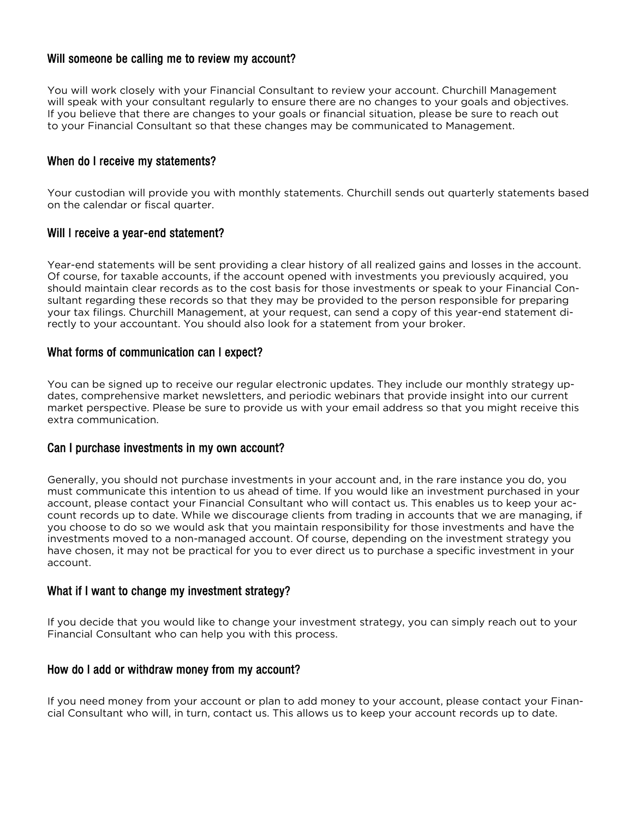## Will someone be calling me to review my account?

You will work closely with your Financial Consultant to review your account. Churchill Management will speak with your consultant regularly to ensure there are no changes to your goals and objectives. If you believe that there are changes to your goals or financial situation, please be sure to reach out to your Financial Consultant so that these changes may be communicated to Management.

#### When do I receive my statements?

Your custodian will provide you with monthly statements. Churchill sends out quarterly statements based on the calendar or fiscal quarter.

#### Will I receive a year-end statement?

Year-end statements will be sent providing a clear history of all realized gains and losses in the account. Of course, for taxable accounts, if the account opened with investments you previously acquired, you should maintain clear records as to the cost basis for those investments or speak to your Financial Consultant regarding these records so that they may be provided to the person responsible for preparing your tax filings. Churchill Management, at your request, can send a copy of this year-end statement directly to your accountant. You should also look for a statement from your broker.

#### What forms of communication can I expect?

You can be signed up to receive our regular electronic updates. They include our monthly strategy updates, comprehensive market newsletters, and periodic webinars that provide insight into our current market perspective. Please be sure to provide us with your email address so that you might receive this extra communication.

#### Can I purchase investments in my own account?

Generally, you should not purchase investments in your account and, in the rare instance you do, you must communicate this intention to us ahead of time. If you would like an investment purchased in your account, please contact your Financial Consultant who will contact us. This enables us to keep your account records up to date. While we discourage clients from trading in accounts that we are managing, if you choose to do so we would ask that you maintain responsibility for those investments and have the investments moved to a non-managed account. Of course, depending on the investment strategy you have chosen, it may not be practical for you to ever direct us to purchase a specific investment in your account.

#### What if I want to change my investment strategy?

If you decide that you would like to change your investment strategy, you can simply reach out to your Financial Consultant who can help you with this process.

### How do I add or withdraw money from my account?

If you need money from your account or plan to add money to your account, please contact your Financial Consultant who will, in turn, contact us. This allows us to keep your account records up to date.